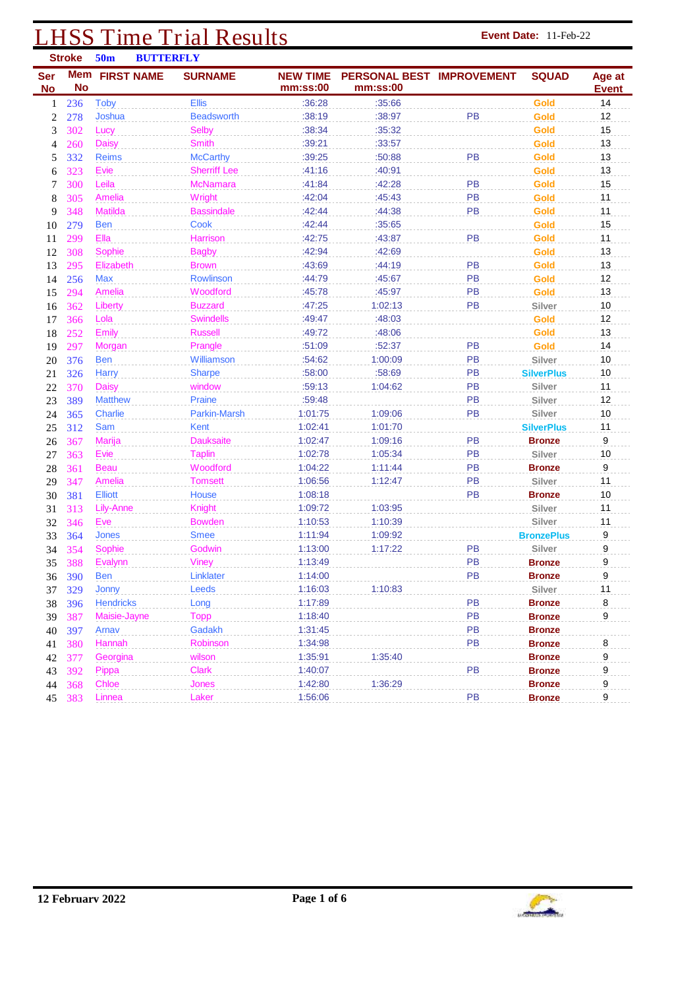# **LHSS Time Trial Results Event Date:** 11-Feb-22 **Event Date:** 11-Feb-22

|                         | <b>Stroke</b>           | 50 <sub>m</sub>   | <b>BUTTERFLY</b> |                     |                             |                                       |           |                   |                        |
|-------------------------|-------------------------|-------------------|------------------|---------------------|-----------------------------|---------------------------------------|-----------|-------------------|------------------------|
| <b>Ser</b><br><b>No</b> | <b>Mem</b><br><b>No</b> | <b>FIRST NAME</b> |                  | <b>SURNAME</b>      | <b>NEW TIME</b><br>mm:ss:00 | PERSONAL BEST IMPROVEMENT<br>mm:ss:00 |           | <b>SQUAD</b>      | Age at<br><b>Event</b> |
| $\mathbf{1}$            | 236                     | <b>Toby</b>       |                  | <b>Ellis</b>        | :36:28                      | :35:66                                |           | <b>Gold</b>       | 14                     |
| $\boldsymbol{2}$        | 278                     | Joshua            |                  | <b>Beadsworth</b>   | :38:19                      | :38:97                                | PB        | Gold              | 12                     |
| 3                       | 302                     | Lucy              |                  | <b>Selby</b>        | :38:34                      | :35:32                                |           | Gold              | 15                     |
| 4                       | 260                     | <b>Daisy</b>      |                  | <b>Smith</b>        | :39:21                      | :33:57                                |           | Gold              | 13                     |
| 5                       | 332                     | <b>Reims</b>      |                  | <b>McCarthy</b>     | :39:25                      | :50:88                                | PB        | Gold              | 13                     |
| 6                       | 323                     | Evie              |                  | <b>Sherriff Lee</b> | :41:16                      | :40:91                                |           | Gold              | 13                     |
| 7                       | 300                     | Leila             |                  | <b>McNamara</b>     | :41:84                      | :42:28                                | PB        | Gold              | 15                     |
| 8                       | 305                     | Amelia            |                  | Wright              | :42:04                      | :45:43                                | PB        | Gold              | 11                     |
| 9                       | 348                     | <b>Matilda</b>    |                  | <b>Bassindale</b>   | :42:44                      | :44:38                                | PB        | Gold              | 11                     |
| 10                      | 279                     | <b>Ben</b>        |                  | Cook                | :42:44                      | :35:65                                |           | Gold              | 15                     |
| 11                      | 299                     | Ella              |                  | Harrison            | :42:75                      | :43:87                                | PB        | Gold              | 11                     |
| 12                      | 308                     | Sophie            |                  | <b>Bagby</b>        | :42:94                      | :42:69                                |           | Gold              | 13                     |
| 13                      | 295                     | Elizabeth         |                  | <b>Brown</b>        | :43:69                      | :44:19                                | PB        | Gold              | 13                     |
| 14                      | 256                     | Max               |                  | Rowlinson           | :44:79                      | :45:67                                | PB        | Gold              | 12                     |
| 15                      | 294                     | Amelia            |                  | Woodford            | :45:78                      | :45:97                                | PB        | Gold              | 13                     |
| 16                      | 362                     | Liberty           |                  | <b>Buzzard</b>      | :47:25                      | 1:02:13                               | PB        | Silver            | 10                     |
| 17                      | 366                     | Lola              |                  | <b>Swindells</b>    | :49:47                      | :48:03                                |           | Gold              | 12                     |
| 18                      | 252                     | Emily             |                  | <b>Russell</b>      | :49:72                      | :48:06                                |           | Gold              | 13                     |
| 19                      | 297                     | Morgan            |                  | Prangle             | :51:09                      | :52:37                                | PB        | Gold              | 14                     |
| 20                      | 376                     | <b>Ben</b>        |                  | Williamson          | :54:62                      | 1:00:09                               | PB        | Silver            | 10                     |
| 21                      | 326                     | <b>Harry</b>      |                  | <b>Sharpe</b>       | :58:00                      | :58:69                                | PB        | <b>SilverPlus</b> | 10                     |
| 22                      | 370                     | <b>Daisy</b>      |                  | window              | :59:13                      | 1:04:62                               | PB        | Silver            | 11                     |
| 23                      | 389                     | <b>Matthew</b>    |                  | Praine              | :59:48                      |                                       | PB        | Silver            | 12                     |
| 24                      | 365                     | Charlie           |                  | Parkin-Marsh        | 1:01:75                     | 1:09:06                               | PB        | Silver            | 10                     |
| 25                      | 312                     | Sam               |                  | Kent                | 1:02:41                     | 1:01:70                               |           | <b>SilverPlus</b> | 11                     |
| 26                      | 367                     | Marija            |                  | <b>Dauksaite</b>    | 1:02:47                     | 1:09:16                               | PB        | <b>Bronze</b>     | 9                      |
| 27                      | 363                     | Evie              |                  | <b>Taplin</b>       | 1:02:78                     | 1:05:34                               | PB        | Silver            | $10$                   |
| 28                      | 361                     | <b>Beau</b>       |                  | Woodford            | 1:04:22                     | 1:11:44                               | PB        | <b>Bronze</b>     | 9                      |
| 29                      | 347                     | Amelia            |                  | <b>Tomsett</b>      | 1:06:56                     | 1:12:47                               | PB        | Silver            | 11                     |
| 30                      | 381                     | <b>Elliott</b>    |                  | House               | 1:08:18                     |                                       | PB        | <b>Bronze</b>     | $10$                   |
| 31                      | 313                     | Lily-Anne         |                  | <b>Knight</b>       | 1:09:72                     | 1:03:95                               |           | Silver            | 11                     |
| 32                      | 346                     | Eve               |                  | <b>Bowden</b>       | 1:10:53                     | 1:10:39                               |           | Silver            | 11                     |
| 33                      | 364                     | <b>Jones</b>      |                  | <b>Smee</b>         | 1:11:94                     | 1:09:92                               |           | <b>BronzePlus</b> | 9                      |
| 34                      | 354                     | Sophie            |                  | Godwin              | 1:13:00                     | 1:17:22                               | PB        | Silver            | 9                      |
| 35                      | 388                     | Evalynn           |                  | <b>Viney</b>        | 1:13:49                     |                                       | PB        | <b>Bronze</b>     | 9                      |
|                         | 36 390                  | <b>Ben</b>        |                  | Linklater           | 1:14:00                     |                                       | <b>PB</b> | <b>Bronze</b>     | 9                      |
| 37                      | 329                     | Jonny             |                  | Leeds               | 1:16:03                     | 1:10:83                               |           | Silver            | 11                     |
| 38                      | 396                     | <b>Hendricks</b>  |                  | Long                | 1:17:89                     |                                       | PB        | <b>Bronze</b>     | 8                      |
| 39                      | 387                     | Maisie-Jayne      |                  | Topp                | 1:18:40                     |                                       | PB        | <b>Bronze</b>     | 9                      |
| 40                      | 397                     | Arnav             |                  | Gadakh              | 1:31:45                     |                                       | PB        | <b>Bronze</b>     |                        |
| 41                      | 380                     | Hannah            |                  | Robinson            | 1:34:98                     |                                       | PB        | <b>Bronze</b>     | 8                      |
| 42                      | 377                     | Georgina          |                  | wilson              | 1:35:91                     | 1:35:40                               |           | <b>Bronze</b>     | 9                      |
| 43                      | 392                     | Pippa             |                  | <b>Clark</b>        | 1:40:07                     |                                       | PB        | <b>Bronze</b>     | 9                      |
| 44                      | 368                     | Chloe             |                  | Jones               | 1:42:80                     | 1:36:29                               |           | <b>Bronze</b>     | 9                      |
|                         | 45 383                  | Linnea            |                  | Laker               | 1:56:06                     |                                       | PB        | <b>Bronze</b>     | 9                      |

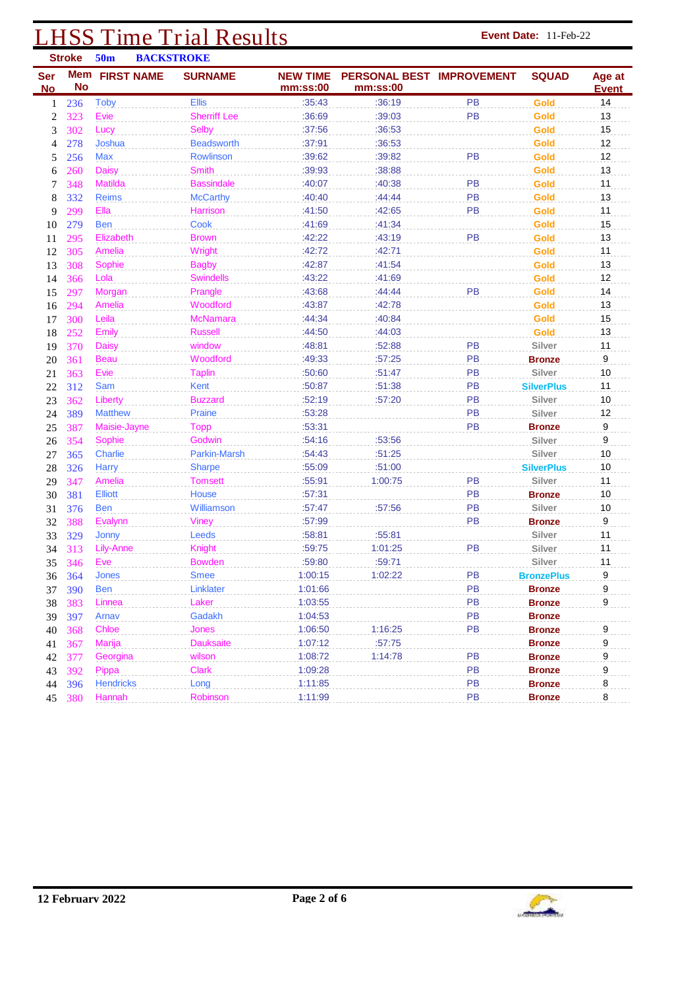#### **LHSS Time Trial Results Event Date:** 11-Feb-22 **Event Date:** 11-Feb-22 **Stroke 50m BACKSTROKE**

| <b>Ser</b>     |           | JV.H<br><b>DACING LIVOIAE</b><br><b>Mem FIRST NAME</b> | <b>SURNAME</b>      | <b>NEW TIME</b> | <b>PERSONAL BEST IMPROVEMENT</b> |           | <b>SQUAD</b>      | Age at       |
|----------------|-----------|--------------------------------------------------------|---------------------|-----------------|----------------------------------|-----------|-------------------|--------------|
| <b>No</b>      | <b>No</b> |                                                        |                     | mm:ss:00        | mm:ss:00                         |           |                   | <b>Event</b> |
| 1              | 236       | Toby                                                   | <b>Ellis</b>        | :35:43          | :36:19                           | <b>PB</b> | <b>Gold</b>       | 14           |
| $\overline{2}$ | 323       | Evie                                                   | <b>Sherriff Lee</b> | :36:69          | :39:03                           | PB        | Gold              | 13           |
| 3              | 302       | Lucy                                                   | <b>Selby</b>        | :37:56          | :36:53                           |           | Gold              | 15           |
| 4              | 278       | Joshua                                                 | <b>Beadsworth</b>   | :37:91          | :36:53                           |           | Gold              | 12           |
| 5              | 256       | Max                                                    | Rowlinson           | :39:62          | :39:82                           | PB        | Gold              | 12           |
| 6              | 260       | <b>Daisy</b>                                           | <b>Smith</b>        | :39:93          | :38:88                           |           | Gold              | 13           |
| 7              | 348       | <b>Matilda</b>                                         | <b>Bassindale</b>   | :40:07          | :40:38                           | <b>PB</b> | Gold              | 11           |
| 8              | 332       | <b>Reims</b>                                           | <b>McCarthy</b>     | :40:40          | :44:44                           | <b>PB</b> | Gold              | 13           |
| 9              | 299       | Ella                                                   | Harrison            | :41:50          | :42:65                           | <b>PB</b> | Gold              | 11           |
| 10             | 279       | <b>Ben</b>                                             | Cook                | :41:69          | :41:34                           |           | Gold              | 15           |
| 11             | 295       | Elizabeth                                              | <b>Brown</b>        | :42:22          | :43:19                           | PB        | Gold              | 13           |
| 12             | 305       | Amelia                                                 | Wright              | :42:72          | :42:71                           |           | Gold              | 11           |
| 13             | 308       | Sophie                                                 | <b>Bagby</b>        | :42:87          | :41:54                           |           | Gold              | 13           |
| 14             | 366       | Lola                                                   | <b>Swindells</b>    | :43:22          | :41:69                           |           | Gold              | 12           |
| 15             | 297       | Morgan                                                 | Prangle             | :43:68          | :44:44                           | PB        | Gold              | 14           |
| 16             | 294       | Amelia                                                 | Woodford            | :43:87          | :42:78                           |           | Gold              | 13           |
| 17             | 300       | Leila                                                  | <b>McNamara</b>     | :44:34          | :40:84                           |           | Gold              | 15           |
| 18             | 252       | <b>Emily</b>                                           | <b>Russell</b>      | :44:50          | :44:03                           |           | Gold              | 13           |
| 19             | 370       | <b>Daisy</b>                                           | window              | :48:81          | :52:88                           | <b>PB</b> | Silver            | 11           |
| 20             | 361       | <b>Beau</b>                                            | Woodford            | :49:33          | :57:25                           | PB        | <b>Bronze</b>     | 9            |
| 21             | 363       | Evie                                                   | <b>Taplin</b>       | :50:60          | :51:47                           | PB        | Silver            | 10           |
| 22             | 312       | Sam                                                    | Kent                | :50:87          | :51:38                           | PB        | <b>SilverPlus</b> | 11           |
| 23             | 362       | Liberty                                                | <b>Buzzard</b>      | :52:19          | :57:20                           | PB        | Silver            | 10           |
| 24             | 389       | <b>Matthew</b>                                         | Praine              | :53:28          |                                  | PB        | Silver            | 12           |
| 25             | 387       | Maisie-Jayne                                           | Topp                | :53:31          |                                  | PB        | <b>Bronze</b>     | 9            |
| 26             | 354       | Sophie                                                 | Godwin              | :54:16          | :53:56                           |           | Silver            | 9            |
| 27             | 365       | Charlie                                                | <b>Parkin-Marsh</b> | :54:43          | :51:25                           |           | Silver            | 10           |
| 28             | 326       | <b>Harry</b>                                           | <b>Sharpe</b>       | :55:09          | :51:00                           |           | <b>SilverPlus</b> | 10           |
| 29             | 347       | Amelia                                                 | <b>Tomsett</b>      | :55:91          | 1:00:75                          | PB        | Silver            | 11           |
| 30             | 381       | <b>Elliott</b>                                         | <b>House</b>        | :57:31          |                                  | PB        | <b>Bronze</b>     | 10           |
| 31             | 376       | <b>Ben</b>                                             | Williamson          | :57:47          | :57:56                           | <b>PB</b> | Silver            | 10           |
| 32             | 388       | Evalynn                                                | <b>Viney</b>        | :57:99          |                                  | <b>PB</b> | <b>Bronze</b>     | 9            |
| 33             | 329       | Jonny                                                  | Leeds               | :58:81          | :55:81                           |           | Silver            | 11           |
| 34             | 313       | Lily-Anne                                              | Knight              | :59:75          | 1:01:25                          | PB        | Silver            | 11           |
| 35             | 346       | Eve                                                    | <b>Bowden</b>       | :59:80          | :59:71                           |           | Silver            | 11           |
| 36             | 364       | Jones                                                  | <b>Smee</b>         | 1:00:15         | 1:02:22                          | PB        | <b>BronzePlus</b> | 9            |
| 37             | 390       | <b>Ben</b>                                             | Linklater           | 1:01:66         |                                  | PB        | Bronze            | ă            |
| 38             | 383       | Linnea                                                 | Laker               | 1:03:55         |                                  | <b>PB</b> | <b>Bronze</b>     | 9            |
| 39             | 397       | Arnav                                                  | Gadakh              | 1:04:53         |                                  | PB        | <b>Bronze</b>     |              |
| 40             | 368       | Chloe                                                  | <b>Jones</b>        | 1:06:50         | 1:16:25                          | PB        | <b>Bronze</b>     | 9            |
| 41             | 367       | <b>Marija</b>                                          | <b>Dauksaite</b>    | 1:07:12         | :57:75                           |           | <b>Bronze</b>     | 9            |
| 42             | 377       | Georgina                                               | wilson              | 1:08:72         | 1:14:78                          | PB        | <b>Bronze</b>     | 9            |
| 43             | 392       | Pippa                                                  | Clark               | 1:09:28         |                                  | PB        | <b>Bronze</b>     | 9            |
| 44             | 396       | <b>Hendricks</b>                                       | Long                | 1:11:85         |                                  | <b>PB</b> | <b>Bronze</b>     | 8            |
| 45             | 380       | Hannah                                                 | Robinson            | 1:11:99         |                                  | PB        | <b>Bronze</b>     | 8            |

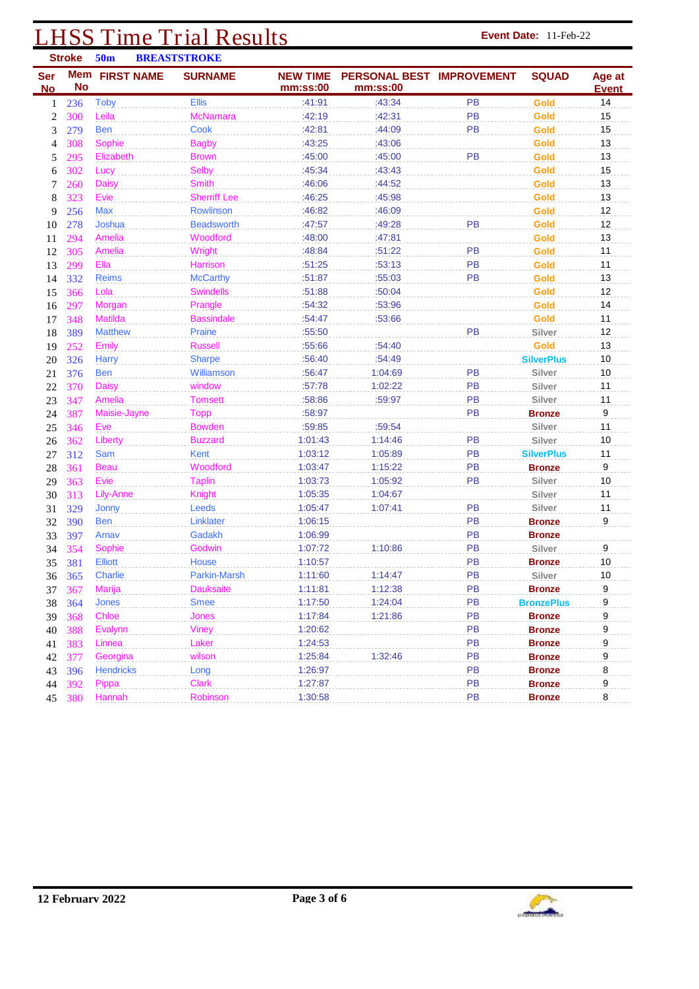## **LHSS Time Trial Results Event Date: 11-Feb-22**

|                         | <b>Stroke</b> | 50 <sub>m</sub>       | <b>BREASTSTROKE</b> |                             |                                       |           |                   |                        |
|-------------------------|---------------|-----------------------|---------------------|-----------------------------|---------------------------------------|-----------|-------------------|------------------------|
| <b>Ser</b><br><b>No</b> | <b>No</b>     | <b>Mem</b> FIRST NAME | <b>SURNAME</b>      | <b>NEW TIME</b><br>mm:ss:00 | PERSONAL BEST IMPROVEMENT<br>mm:ss:00 |           | <b>SQUAD</b>      | Age at<br><b>Event</b> |
| 1                       | 236           | <b>Toby</b>           | <b>Ellis</b>        | :41:91                      | :43:34                                | <b>PB</b> | <b>Gold</b>       | 14                     |
| $\overline{2}$          | 300           | Leila                 | <b>McNamara</b>     | :42:19                      | :42:31                                | PB        | Gold              | 15                     |
| 3                       | 279           | <b>Ben</b>            | Cook                | :42:81                      | :44:09                                | PB        | Gold              | 15                     |
| 4                       | 308           | Sophie                | <b>Bagby</b>        | :43:25                      | :43:06                                |           | Gold              | 13                     |
| 5                       | 295           | Elizabeth             | <b>Brown</b>        | :45:00                      | :45:00                                | PB        | Gold              | 13                     |
| 6                       | 302           | Lucy                  | Selby               | :45:34                      | :43:43                                |           | Gold              | 15                     |
| 7                       | 260           | <b>Daisy</b>          | <b>Smith</b>        | :46:06                      | :44:52                                |           | Gold              | 13                     |
| 8                       | 323           | Evie                  | <b>Sherriff Lee</b> | :46:25                      | :45:98                                |           | Gold              | 13                     |
| 9                       | 256           | Max                   | Rowlinson           | :46:82                      | :46:09                                |           | Gold              | 12                     |
| 10                      | 278           | Joshua                | <b>Beadsworth</b>   | :47:57                      | :49:28                                | PB        | Gold              | 12                     |
| 11                      | 294           | Amelia                | Woodford            | :48:00                      | :47:81                                |           | Gold              | 13                     |
| 12                      | 305           | Amelia                | Wright              | :48:84                      | :51:22                                | <b>PB</b> | Gold              | 11                     |
| 13                      | 299           | Ella                  | Harrison            | :51:25                      | :53:13                                | PB        | Gold              | 11                     |
| 14                      | 332           | <b>Reims</b>          | <b>McCarthy</b>     | :51:87                      | :55:03                                | PB        | Gold              | 13                     |
| 15                      | 366           | Lola                  | <b>Swindells</b>    | :51:88                      | :50:04                                |           | Gold              | 12                     |
| 16                      | 297           | Morgan                | Prangle             | :54:32                      | :53:96                                |           | Gold              | 14                     |
| 17                      | 348           | <b>Matilda</b>        | <b>Bassindale</b>   | :54:47                      | :53:66                                |           | Gold              | 11                     |
| 18                      | 389           | <b>Matthew</b>        | Praine              | :55:50                      |                                       | PB        | Silver            | 12                     |
| 19                      | 252           | <b>Emily</b>          | <b>Russell</b>      | :55:66                      | :54:40                                |           | Gold              | 13                     |
| 20                      | 326           | Harry                 | <b>Sharpe</b>       | :56:40                      | :54:49                                |           | <b>SilverPlus</b> | 10                     |
| 21                      | 376           | <b>Ben</b>            | <b>Williamson</b>   | :56:47                      | 1:04:69                               | PB        | Silver            | 10                     |
| 22                      | 370           | <b>Daisy</b>          | window              | :57:78                      | 1:02:22                               | PB        | Silver            | 11                     |
| 23                      | 347           | Amelia                | <b>Tomsett</b>      | :58:86                      | :59:97                                | <b>PB</b> | Silver            | 11                     |
| 24                      | 387           | Maisie-Jayne          | <b>Topp</b>         | :58:97                      |                                       | <b>PB</b> | <b>Bronze</b>     | $\boldsymbol{9}$       |
| 25                      | 346           | Eve                   | <b>Bowden</b>       | :59:85                      | :59:54                                |           | Silver            | 11                     |
| 26                      | 362           | Liberty               | <b>Buzzard</b>      | 1:01:43                     | 1:14:46                               | PB        | Silver            | 10                     |
| 27                      | 312           | Sam                   | Kent                | 1:03:12                     | 1:05:89                               | PB        | <b>SilverPlus</b> | 11                     |
| 28                      | 361           | <b>Beau</b>           | Woodford            | 1:03:47                     | 1:15:22                               | PB        | <b>Bronze</b>     | 9                      |
| 29                      | 363           | Evie                  | <b>Taplin</b>       | 1:03:73                     | 1:05:92                               | PB        | Silver            | $10$                   |
| 30                      | 313           | Lily-Anne             | <b>Knight</b>       | 1:05:35                     | 1:04:67                               |           | Silver            | 11                     |
| 31                      | 329           | Jonny                 | Leeds               | 1:05:47                     | 1:07:41                               | PB        | Silver            | 11                     |
| 32                      | 390           | <b>Ben</b>            | Linklater           | 1:06:15                     |                                       | PB        | <b>Bronze</b>     | 9                      |
| 33                      | 397           | Arnav                 | Gadakh              | 1:06:99                     |                                       | PB        | <b>Bronze</b>     |                        |
| 34                      | 354           | Sophie                | Godwin              | 1:07:72                     | 1:10:86                               | PB        | Silver            | 9                      |
| 35                      | 381           | <b>Elliott</b>        | House               | 1:10:57                     |                                       | PB        | <b>Bronze</b>     | 10                     |
|                         | 36 365        | <b>Charlie</b>        | Parkin-Marsh        | 1:11:60                     | 1:14:47                               | <b>PB</b> | Silver            | 10                     |
| 37                      | 367           | Marija                | <b>Dauksaite</b>    | 1:11:81                     | 1:12:38                               | <b>PB</b> | <b>Bronze</b>     | 9                      |
| 38                      | 364           | Jones                 | Smee                | 1:17:50                     | 1:24:04                               | <b>PB</b> | <b>BronzePlus</b> | 9                      |
| 39                      | 368           | Chloe                 | Jones               | 1:17:84                     | 1:21:86                               | <b>PB</b> | Bronze            | 9                      |
| 40                      | 388           | <b>Evalynn</b>        | <b>Viney</b>        | 1:20:62                     |                                       | <b>PB</b> | <b>Bronze</b>     | 9                      |
| 41                      | 383           | Linnea                | Laker               | 1:24:53                     |                                       | PB        | <b>Bronze</b>     | 9                      |
| 42                      | 377           | Georgina              | wilson              | 1:25:84                     | 1:32:46                               | PB        | <b>Bronze</b>     | 9                      |
| 43                      | 396           | <b>Hendricks</b>      | Long                | 1:26:97                     |                                       | PB        | <b>Bronze</b>     | 8                      |
| 44                      | 392           | Pippa                 | <b>Clark</b>        | 1:27:87                     |                                       | PB        | <b>Bronze</b>     | 9                      |
|                         | 45 380        | Hannah                | Robinson            | 1:30:58                     |                                       | PB        | <b>Bronze</b>     | 8                      |

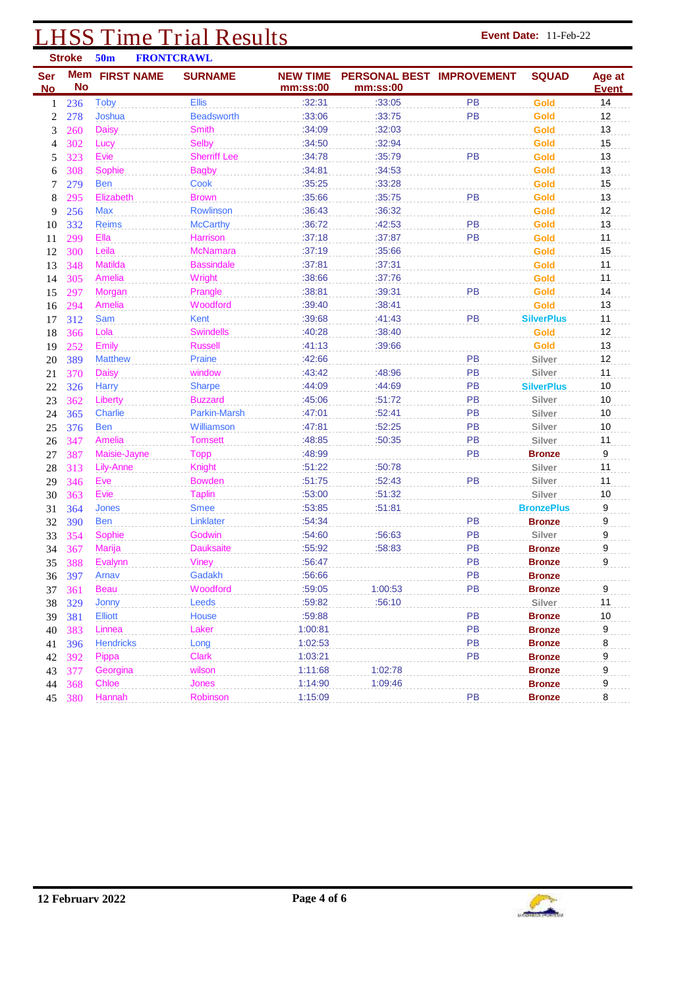## **LHSS Time Trial Results Event Date: 11-Feb-22**

|                         | <b>Stroke</b> | 50 <sub>m</sub>       | <b>FRONTCRAWL</b>   |                             |                                       |           |                   |                        |
|-------------------------|---------------|-----------------------|---------------------|-----------------------------|---------------------------------------|-----------|-------------------|------------------------|
| <b>Ser</b><br><b>No</b> | <b>No</b>     | <b>Mem</b> FIRST NAME | <b>SURNAME</b>      | <b>NEW TIME</b><br>mm:ss:00 | PERSONAL BEST IMPROVEMENT<br>mm:ss:00 |           | <b>SQUAD</b>      | Age at<br><b>Event</b> |
| 1                       | 236           | <b>Toby</b>           | <b>Ellis</b>        | :32:31                      | :33:05                                | PB        | <b>Gold</b>       | 14                     |
| $\boldsymbol{2}$        | 278           | Joshua                | <b>Beadsworth</b>   | :33:06                      | :33:75                                | <b>PB</b> | Gold              | 12                     |
| 3                       | 260           | <b>Daisy</b>          | <b>Smith</b>        | :34:09                      | :32:03                                |           | Gold              | 13                     |
| 4                       | 302           | Lucy                  | Selby               | :34:50                      | :32:94                                |           | Gold              | 15                     |
| 5                       | 323           | Evie                  | <b>Sherriff Lee</b> | :34:78                      | :35:79                                | PB        | Gold              | 13                     |
| 6                       | 308           | Sophie                | <b>Bagby</b>        | :34:81                      | :34:53                                |           | Gold              | 13                     |
| 7                       | 279           | <b>Ben</b>            | <b>Cook</b>         | :35:25                      | :33:28                                |           | Gold              | 15                     |
| 8                       | 295           | Elizabeth             | <b>Brown</b>        | :35:66                      | :35:75                                | PB        | Gold              | 13                     |
| 9                       | 256           | <b>Max</b>            | Rowlinson           | :36:43                      | :36:32                                |           | Gold              | 12                     |
| 10                      | 332           | <b>Reims</b>          | <b>McCarthy</b>     | :36:72                      | :42:53                                | PB        | Gold              | 13                     |
| 11                      | 299           | Ella                  | Harrison            | :37:18                      | :37:87                                | <b>PB</b> | Gold              | 11                     |
| 12                      | 300           | Leila                 | <b>McNamara</b>     | :37:19                      | :35:66                                |           | Gold              | 15                     |
| 13                      | 348           | <b>Matilda</b>        | <b>Bassindale</b>   | :37:81                      | :37:31                                |           | Gold              | 11                     |
| 14                      | 305           | Amelia                | Wright              | :38:66                      | :37:76                                |           | Gold              | 11                     |
| 15                      | 297           | Morgan                | Prangle             | :38:81                      | :39:31                                | PB        | Gold              | 14                     |
| 16                      | 294           | Amelia                | Woodford            | :39:40                      | :38:41                                |           | Gold              | 13                     |
| 17                      | 312           | Sam                   | Kent                | :39:68                      | :41:43                                | PB        | <b>SilverPlus</b> | 11                     |
| 18                      | 366           | Lola                  | <b>Swindells</b>    | :40:28                      | :38:40                                |           | Gold              | 12                     |
| 19                      | 252           | Emily                 | <b>Russell</b>      | :41:13                      | :39:66                                |           | Gold              | 13                     |
| 20                      | 389           | <b>Matthew</b>        | Praine              | :42:66                      |                                       | PB        | Silver            | 12                     |
| 21                      | 370           | <b>Daisy</b>          | window              | :43:42                      | :48:96                                | PB        | Silver            | 11                     |
| 22                      | 326           | <b>Harry</b>          | <b>Sharpe</b>       | :44:09                      | :44:69                                | PB        | <b>SilverPlus</b> | 10                     |
| 23                      | 362           | Liberty               | <b>Buzzard</b>      | :45:06                      | :51:72                                | PB        | Silver            | 10                     |
| 24                      | 365           | <b>Charlie</b>        | Parkin-Marsh        | :47:01                      | :52:41                                | PB        | Silver            | 10                     |
| 25                      | 376           | <b>Ben</b>            | Williamson          | :47:81                      | :52:25                                | PB        | Silver            | 10                     |
| 26                      | 347           | Amelia                | <b>Tomsett</b>      | :48:85                      | :50:35                                | <b>PB</b> | Silver            | 11                     |
| 27                      | 387           | Maisie-Jayne          | <b>Topp</b>         | :48:99                      |                                       | PB        | <b>Bronze</b>     | 9                      |
| 28                      | 313           | Lily-Anne             | Knight              | :51:22                      | :50:78                                |           | Silver            | 11                     |
| 29                      | 346           | Eve                   | <b>Bowden</b>       | :51:75                      | :52:43                                | PB        | Silver            | 11                     |
| 30                      | 363           | Evie                  | <b>Taplin</b>       | :53:00                      | :51:32                                |           | Silver            | 10                     |
| 31                      | 364           | <b>Jones</b>          | <b>Smee</b>         | :53:85                      | :51:81                                |           | <b>BronzePlus</b> | 9                      |
| 32                      | 390           | <b>Ben</b>            | Linklater           | :54:34                      |                                       | <b>PB</b> | <b>Bronze</b>     | 9                      |
| 33                      | 354           | Sophie                | Godwin              | :54:60                      | :56:63                                | PB        | Silver            | 9                      |
| 34                      | 367           | <b>Marija</b>         | <b>Dauksaite</b>    | :55:92                      | :58:83                                | PB        | <b>Bronze</b>     | 9                      |
| 35                      | 388           | Evalynn               | <b>Viney</b>        | :56:47                      |                                       | PB        | <b>Bronze</b>     | 9                      |
|                         | 36 397        | Arnav                 | Gadakh              | :56:66                      |                                       | PB        | <b>Bronze</b>     |                        |
| 37                      | <b>361</b>    | <b>Beau</b>           | Woodford            | :59:05                      | 1:00:53                               | PB        | <b>Bronze</b>     | 9                      |
| 38                      | 329           | Jonny                 | Leeds               | :59:82                      | :56:10                                |           | Silver            | 11                     |
| 39                      | 381           | Elliott               | House               | :59:88                      |                                       | PB        | <b>Bronze</b>     | 10                     |
| 40                      | 383           | Linnea                | Laker               | 1:00:81                     |                                       | PB        | <b>Bronze</b>     | 9                      |
| 41                      | 396           | <b>Hendricks</b>      | Long                | 1:02:53                     |                                       | PB        | Bronze            | 8                      |
| 42                      | 392           | Pippa                 | Clark               | 1:03:21                     |                                       | PB        | <b>Bronze</b>     | 9                      |
| 43                      | 377           | Georgina              | wilson              | 1:11:68                     | 1:02:78                               |           | <b>Bronze</b>     | 9                      |
| 44                      | 368           | Chloe                 | Jones               | 1:14:90                     | 1:09:46                               |           | <b>Bronze</b>     | 9                      |
|                         | 45 380        | Hannah                | Robinson            | 1:15:09                     |                                       | PB        | <b>Bronze</b>     | 8                      |

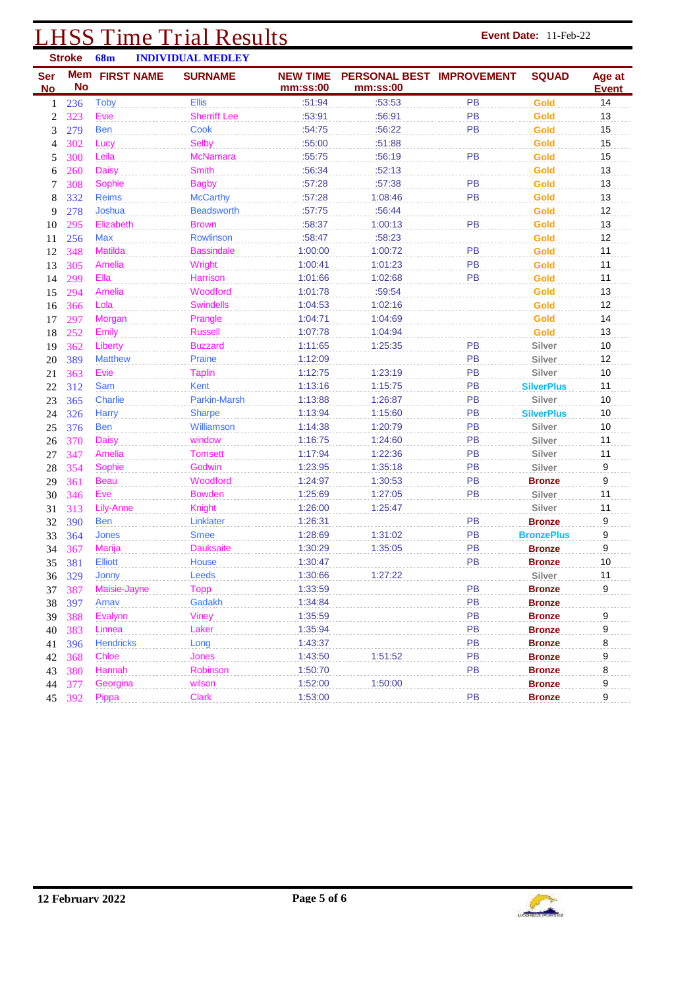## **LHSS Time Trial Results Event Date:** 11-Feb-22 **Event Date:** 11-Feb-22

|            | <b>Stroke</b> | <b>68m</b>       |                   | <b>INDIVIDUAL MEDLEY</b> |                 |                           |           |                   |              |
|------------|---------------|------------------|-------------------|--------------------------|-----------------|---------------------------|-----------|-------------------|--------------|
| <b>Ser</b> | <b>Mem</b>    |                  | <b>FIRST NAME</b> | <b>SURNAME</b>           | <b>NEW TIME</b> | PERSONAL BEST IMPROVEMENT |           | <b>SQUAD</b>      | Age at       |
| <b>No</b>  | <b>No</b>     |                  |                   |                          | mm:ss:00        | mm:ss:00                  |           |                   | <b>Event</b> |
| 1          | 236           | <b>Toby</b>      |                   | <b>Ellis</b>             | :51:94          | :53:53                    | PB        | <b>Gold</b>       | 14           |
| 2          | 323           | Evie             |                   | <b>Sherriff Lee</b>      | :53:91          | :56:91                    | <b>PB</b> | Gold              | 13           |
| 3          | 279           | <b>Ben</b>       |                   | Cook                     | :54:75          | :56:22                    | <b>PB</b> | Gold              | 15           |
| 4          | 302           | Lucy             |                   | <b>Selby</b>             | :55:00          | :51:88                    |           | Gold              | 15           |
| 5          | 300           | Leila            |                   | <b>McNamara</b>          | :55:75          | :56:19                    | <b>PB</b> | <b>Gold</b>       | 15           |
| 6          | 260           | <b>Daisy</b>     |                   | <b>Smith</b>             | :56:34          | :52:13                    |           | <b>Gold</b>       | 13           |
| 7          | 308           | Sophie           |                   | <b>Bagby</b>             | :57:28          | :57:38                    | PB        | <b>Gold</b>       | 13           |
| 8          | 332           | <b>Reims</b>     |                   | <b>McCarthy</b>          | :57:28          | 1:08:46                   | PB        | <b>Gold</b>       | 13           |
| 9          | 278           | Joshua           |                   | <b>Beadsworth</b>        | :57:75          | :56:44                    |           | Gold              | 12           |
| 10         | 295           | Elizabeth        |                   | <b>Brown</b>             | :58:37          | 1:00:13                   | PB        | Gold              | 13           |
| 11         | 256           | <b>Max</b>       |                   | Rowlinson                | :58:47          | :58:23                    |           | Gold              | 12           |
| 12         | 348           | <b>Matilda</b>   |                   | <b>Bassindale</b>        | 1:00:00         | 1:00:72                   | PB        | Gold              | 11           |
| 13         | 305           | Amelia           |                   | Wright                   | 1:00:41         | 1:01:23                   | PB        | Gold              | 11           |
| 14         | 299           | Ella             |                   | Harrison                 | 1:01:66         | 1:02:68                   | <b>PB</b> | <b>Gold</b>       | 11           |
| 15         | 294           | Amelia           |                   | Woodford                 | 1:01:78         | :59:54                    |           | <b>Gold</b>       | 13           |
| 16         | 366           | Lola             |                   | <b>Swindells</b>         | 1:04:53         | 1:02:16                   |           | Gold              | 12           |
| 17         | 297           | Morgan           |                   | Prangle                  | 1:04:71         | 1:04:69                   |           | Gold              | 14           |
| 18         | 252           | Emily            |                   | <b>Russell</b>           | 1:07:78         | 1:04:94                   |           | Gold              | 13           |
| 19         | 362           | Liberty          |                   | <b>Buzzard</b>           | 1:11:65         | 1:25:35                   | PB        | Silver            | 10           |
| 20         | 389           | <b>Matthew</b>   |                   | Praine                   | 1:12:09         |                           | PB        | Silver            | 12           |
| 21         | 363           | Evie             |                   | <b>Taplin</b>            | 1:12:75         | 1:23:19                   | PB        | Silver            | 10           |
| 22         | 312           | Sam              |                   | Kent                     | 1:13:16         | 1:15:75                   | PB        | <b>SilverPlus</b> | 11           |
| 23         | 365           | <b>Charlie</b>   |                   | <b>Parkin-Marsh</b>      | 1:13:88         | 1:26:87                   | PB        | Silver            | 10           |
| 24         | 326           | <b>Harry</b>     |                   | <b>Sharpe</b>            | 1:13:94         | 1:15:60                   | PB        | <b>SilverPlus</b> | 10           |
| 25         | 376           | <b>Ben</b>       |                   | Williamson               | 1:14:38         | 1:20:79                   | <b>PB</b> | Silver            | 10           |
| 26         | 370           | <b>Daisy</b>     |                   | window                   | 1:16:75         | 1:24:60                   | <b>PB</b> | Silver            | 11           |
| 27         | 347           | Amelia           |                   | <b>Tomsett</b>           | 1:17:94         | 1:22:36                   | PB        | Silver            | 11           |
| 28         | 354           | Sophie           |                   | Godwin                   | 1:23:95         | 1:35:18                   | PB        | Silver            | 9            |
| 29         | 361           | <b>Beau</b>      |                   | Woodford                 | 1:24:97         | 1:30:53                   | PB        | <b>Bronze</b>     | 9            |
| 30         | 346           | Eve              |                   | <b>Bowden</b>            | 1:25:69         | 1:27:05                   | PB        | Silver            | 11           |
| 31         | 313           | Lily-Anne        |                   | <b>Knight</b>            | 1:26:00         | 1:25:47                   |           | Silver            | 11           |
| 32         | 390           | <b>Ben</b>       |                   | Linklater                | 1:26:31         |                           | PB        | <b>Bronze</b>     | 9            |
| 33         | 364           | <b>Jones</b>     |                   | <b>Smee</b>              | 1:28:69         | 1:31:02                   | PB        | <b>BronzePlus</b> | 9            |
| 34         | 367           | Marija           |                   | <b>Dauksaite</b>         | 1:30:29         | 1:35:05                   | PB        | <b>Bronze</b>     | 9            |
| 35         | 381           | <b>Elliott</b>   |                   | <b>House</b>             | 1:30:47         |                           | PB        | <b>Bronze</b>     | 10           |
|            | 36 329        | Jonny            |                   | Leeds                    | 1:30:66         | 1:27:22                   |           | Silver            | 11           |
| 37         | 387           | Maisie-Jayne     |                   | <b>Topp</b>              | 1:33:59         |                           | PB        | <b>Bronze</b>     | 9            |
| 38         | 397           | Arnav            |                   | Gadakh                   | 1:34:84         |                           | PB        | <b>Bronze</b>     |              |
| 39         | 388           | Evalynn          |                   | <b>Viney</b>             | 1:35:59         |                           | PB        | <b>Bronze</b>     | $9\,$        |
| 40         | 383           | Linnea           |                   | Laker                    | 1:35:94         |                           | PB        | <b>Bronze</b>     | $9\,$        |
| 41         | 396           | <b>Hendricks</b> |                   | Long                     | 1:43:37         |                           | PB        | <b>Bronze</b>     | 8            |
| 42         | 368           | Chloe            |                   | Jones                    | 1:43:50         | 1:51:52                   | PB        | <b>Bronze</b>     | 9            |
| 43         | 380           | Hannah           |                   | Robinson                 | 1:50:70         |                           | PB        | <b>Bronze</b>     | 8            |
| 44         | 377           | Georgina         |                   | wilson                   | 1:52:00         | 1:50:00                   |           | <b>Bronze</b>     | 9            |
|            | 45 392        | Pippa            |                   | <b>Clark</b>             | 1:53:00         |                           | PB        | <b>Bronze</b>     | 9            |